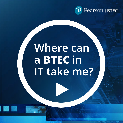

# **Where can** a BTEC in IT take me?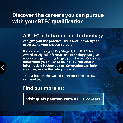### **Discover the careers you can pursue with your BTEC qualification**

#### **A BTEC in Information Technology**

**can give you the practical skills and knowledge to progress to your chosen career.** 

**If you're studying at Key Stage 4, the BTEC Tech Award in Digital Information Technology can give you a solid grounding to get you started. Once you know what you'd like to do, a BTEC National in Information Technology or Computing can help you progress to the role you want.**

**Take a look at the varied IT sector roles a BTEC can lead to.**

**Find out more at:**

**Visit quals.pearson.com/BTECITcareers**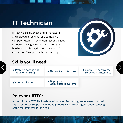### **IT Technician**

IT Technicians diagnose and fix hardware and software problems for a company's computer users. IT Technician responsibilities include installing and configuring computer hardware and being the primary point of contact for IT support within a company.



#### **Skills you'll need:**

| <b>↑ Problem solving and</b><br>decision making | <b>1</b> Network architecture                | <b>1 Computer hardware/</b><br>software maintenance |  |
|-------------------------------------------------|----------------------------------------------|-----------------------------------------------------|--|
| $\blacktriangleleft$ Communication              | <b>イ</b> Deploy and<br>administer IT systems |                                                     |  |

#### **Relevant BTEC:**

All units for the BTEC Nationals in Information Technology are relevant, but **Unit 12: IT Technical Support and Management** will give you a good understanding of the requirements for this role.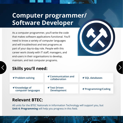### **Computer programmer/ Software Developer**

As a computer programmer, you'll write the code that makes software applications functional. You'll need to know a variety of computer languages and will troubleshoot and test programs as part of your day-to-day role. People with this career work closely with IT staff, managers, and end-users in their organisations to develop, maintain, and test computer programs.

#### **Skills you'll need:**

| <b>イProblem-solving</b>                     | <b>イ Communication and</b><br>collaboration | $\blacktriangleleft$ SQL databases |
|---------------------------------------------|---------------------------------------------|------------------------------------|
| <b>A</b> Knowledge of<br>computer languages | <b>イTest Driven</b><br><b>Development</b>   | <b>↑ Programming/Coding</b>        |

#### **Relevant BTEC:**

All units for the BTEC Nationals in Information Technology will support you, but **Unit 4: Programming** will help you progress in this field.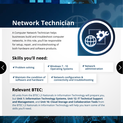### **Network Technician**

A Computer Network Technician helps businesses build and troubleshoot computer networks. In this role, you'll be responsible for setup, repair, and troubleshooting of both hardware and software products.



#### **Skills you'll need:**

- 
- **Problem solving Windows 7 10 Operating Systems**
- **Network administration**

- **◆ Maintain the condition of software and hardware**
- **Network configuration & connectivity and troubleshooting**

#### **Relevant BTEC:**

All units from the BTEC L3 Nationals in Information Technology will prepare you, but **Unit 1: Information Technology Systems**, **Unit 12: IT Technical Support and Management**, and **Unit 16: Cloud Storage and Collaboration Tools** from the BTEC L3 Nationals in Information Technology will help you learn some of the skills you'll need.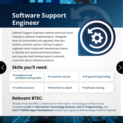### **Software Support Engineer**

Software Support Engineers address technical issues relating to software implementation. Alongside work on functionality and upgrades, they also resolve customer queries. Software support engineers work closely with development teams to identify and resolve technical problems and may also lead training classes to educate customers about software products.



#### **Skills you'll need:**

| $\blacktriangleleft$ Analytical and<br>problem-solving skills | $\blacktriangle$ Customer service | $\blacktriangleleft$ Programming/Coding |
|---------------------------------------------------------------|-----------------------------------|-----------------------------------------|
| $\blacktriangleleft$ Communication                            | <b>1</b> Attention to detail      | $\blacktriangleleft$ Software testing   |

#### **Relevant BTEC:**

All units from the BTEC L3 Nationals in Information Technology are relevant but completing **Unit 1: Information Technology Systems**, **Unit 4: Programming**, and **Unit 7: Mobile Apps Development** will give you a good understanding of what's required.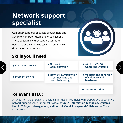### **Network support specialist**

Computer support specialists provide help and advice to computer users and organizations. These specialists either support computer networks or they provide technical assistance directly to computer users.



**Communication**

#### **Skills you'll need:**

| <b>1 Customer service</b> | $\blacktriangleleft$ Network<br>administration                          | $\blacktriangleright$ Windows 7 - 10<br><b>Operating Systems</b>            |
|---------------------------|-------------------------------------------------------------------------|-----------------------------------------------------------------------------|
| <b>イProblem-solving</b>   | <b>↑ Network configuration</b><br>& connectivity and<br>troubleshooting | $\blacktriangleright$ Maintain the condition<br>of software and<br>hardware |

#### **Relevant BTEC:**

All units from the BTEC L3 Nationals in Information Technology will prepare you to become a network support specialist, but take a look at **Unit 1: Information Technology Systems**, **Unit 9: IT Project Management**, and **Unit 16: Cloud Storage and Collaboration Tools** in particular.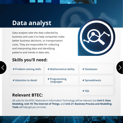### **Data analyst**

Data analysts take the data collected by business and uses it to help companies make better business decisions. or transportation costs. They are responsible for collecting and interpreting data and identifying patterns and trends in data sets.



#### **Skills you'll need:**

| <b>↑ Attention to detail</b> | <b>↑</b> Programming<br>languages | $\blacktriangleleft$ Spreadsheets<br>$\triangleleft$ SQL |  |
|------------------------------|-----------------------------------|----------------------------------------------------------|--|
| B. J. BTF <i>A</i> .         |                                   |                                                          |  |

#### **Relevant BTEC:**

All units for the BTEC Nationals in Information Technology will be relevant, but **Unit 5: Data Modeling**, **Unit 19: The Internet of Things**, and **Unit 21: Business Process and Modelling Tools** will help get you on track.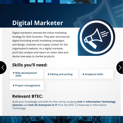## **Digital Marketer**

Digital marketers oversee the online marketing strategy for their business. They plan and execute digital (including email) marketing campaigns and design, maintain and supply content for the organisation's website. As a digital marketer, you'll also analyse and report on visitor data and devise new ways to market products.



#### **Skills you'll need:**

 **Web development** 

*<u>A* Editing and writing **A** Analytical skills</u>

**Project management**

#### **Relevant BTEC:**

Build your knowledge and skills for this role by studying **Unit 1: Information Technology Systems** and **Unit 20: Enterprise in IT** from the BTEC L3 Nationals in Information Technology.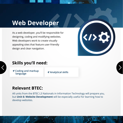### **Web Developer**

As a web developer, you'll be responsible for designing, coding and modifying websites. Web developers work to create visually appealing sites that feature user-friendly design and clear navigation.



#### **Skills you'll need:**

 **Coding and markup** 

**language Analytical skills**

#### **Relevant BTEC:**

All units from the BTEC L3 Nationals in Information Technology will prepare you, but **Unit 6: Website Development** will be especially useful for learning how to develop websites.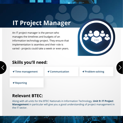### **IT Project Manager**

An IT project manager is the person who manages the timelines and budgets of an information technology project. They ensure that implementation is seamless and their role is varied - projects could take a week or even years.



#### **Skills you'll need:**

**∕** Reporting *A* Time management *A* Communication *A* Problem-solving

#### **Relevant BTEC:**

Along with all units for the BTEC Nationals in Information Technology, **Unit 9: IT Project Management** in particular will give you a good understanding of project management in the IT sector.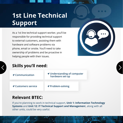### **1st Line Technical Support**

As a 1st line technical support worker, you'll be responsible for providing technical support to external customers, assisting them with hardware and software problems via phone, email or onsite. You'll need to take ownership of problems and be proactive in helping people with their issues.



#### **Skills you'll need:**

| $\blacktriangleleft$ Communication | <b>1</b> Understanding of computer<br>hardware set-up |
|------------------------------------|-------------------------------------------------------|
| <b>1 Customers service</b>         | <b>↑ Problem-solving</b>                              |

#### **Relevant BTEC:**

If you're planning to work in technical support, **Unit 1: Information Technology Systems** and **Unit 12: IT Technical Support and Managemen**t, along with all other units, could be very useful.